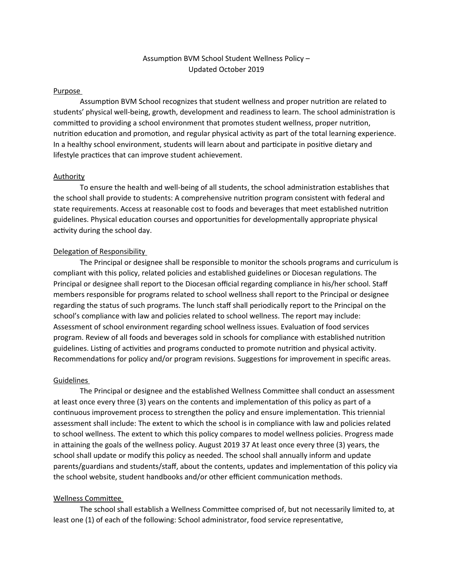# Assumption BVM School Student Wellness Policy – Updated October 2019

### Purpose

Assumption BVM School recognizes that student wellness and proper nutrition are related to students' physical well-being, growth, development and readiness to learn. The school administration is committed to providing a school environment that promotes student wellness, proper nutrition, nutrition education and promotion, and regular physical activity as part of the total learning experience. In a healthy school environment, students will learn about and participate in positive dietary and lifestyle practices that can improve student achievement.

### Authority

To ensure the health and well-being of all students, the school administration establishes that the school shall provide to students: A comprehensive nutrition program consistent with federal and state requirements. Access at reasonable cost to foods and beverages that meet established nutrition guidelines. Physical education courses and opportunities for developmentally appropriate physical activity during the school day.

### Delegation of Responsibility

The Principal or designee shall be responsible to monitor the schools programs and curriculum is compliant with this policy, related policies and established guidelines or Diocesan regulations. The Principal or designee shall report to the Diocesan official regarding compliance in his/her school. Staff members responsible for programs related to school wellness shall report to the Principal or designee regarding the status of such programs. The lunch staff shall periodically report to the Principal on the school's compliance with law and policies related to school wellness. The report may include: Assessment of school environment regarding school wellness issues. Evaluation of food services program. Review of all foods and beverages sold in schools for compliance with established nutrition guidelines. Listing of activities and programs conducted to promote nutrition and physical activity. Recommendations for policy and/or program revisions. Suggestions for improvement in specific areas.

### Guidelines

The Principal or designee and the established Wellness Committee shall conduct an assessment at least once every three (3) years on the contents and implementation of this policy as part of a continuous improvement process to strengthen the policy and ensure implementation. This triennial assessment shall include: The extent to which the school is in compliance with law and policies related to school wellness. The extent to which this policy compares to model wellness policies. Progress made in attaining the goals of the wellness policy. August 2019 37 At least once every three (3) years, the school shall update or modify this policy as needed. The school shall annually inform and update parents/guardians and students/staff, about the contents, updates and implementation of this policy via the school website, student handbooks and/or other efficient communication methods.

### Wellness Committee

The school shall establish a Wellness Committee comprised of, but not necessarily limited to, at least one (1) of each of the following: School administrator, food service representative,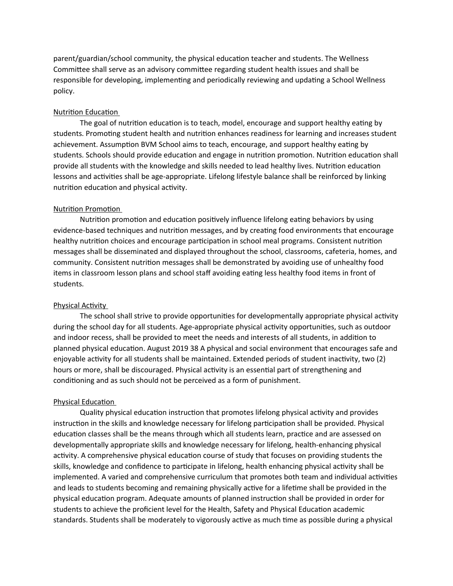parent/guardian/school community, the physical education teacher and students. The Wellness Committee shall serve as an advisory committee regarding student health issues and shall be responsible for developing, implementing and periodically reviewing and updating a School Wellness policy.

### Nutrition Education

The goal of nutrition education is to teach, model, encourage and support healthy eating by students. Promoting student health and nutrition enhances readiness for learning and increases student achievement. Assumption BVM School aims to teach, encourage, and support healthy eating by students. Schools should provide education and engage in nutrition promotion. Nutrition education shall provide all students with the knowledge and skills needed to lead healthy lives. Nutrition education lessons and activities shall be age-appropriate. Lifelong lifestyle balance shall be reinforced by linking nutrition education and physical activity.

### Nutrition Promotion

Nutrition promotion and education positively influence lifelong eating behaviors by using evidence-based techniques and nutrition messages, and by creating food environments that encourage healthy nutrition choices and encourage participation in school meal programs. Consistent nutrition messages shall be disseminated and displayed throughout the school, classrooms, cafeteria, homes, and community. Consistent nutrition messages shall be demonstrated by avoiding use of unhealthy food items in classroom lesson plans and school staff avoiding eating less healthy food items in front of students.

## Physical Activity

The school shall strive to provide opportunities for developmentally appropriate physical activity during the school day for all students. Age-appropriate physical activity opportunities, such as outdoor and indoor recess, shall be provided to meet the needs and interests of all students, in addition to planned physical education. August 2019 38 A physical and social environment that encourages safe and enjoyable activity for all students shall be maintained. Extended periods of student inactivity, two (2) hours or more, shall be discouraged. Physical activity is an essential part of strengthening and conditioning and as such should not be perceived as a form of punishment.

### Physical Education

Quality physical education instruction that promotes lifelong physical activity and provides instruction in the skills and knowledge necessary for lifelong participation shall be provided. Physical education classes shall be the means through which all students learn, practice and are assessed on developmentally appropriate skills and knowledge necessary for lifelong, health-enhancing physical activity. A comprehensive physical education course of study that focuses on providing students the skills, knowledge and confidence to participate in lifelong, health enhancing physical activity shall be implemented. A varied and comprehensive curriculum that promotes both team and individual activities and leads to students becoming and remaining physically active for a lifetime shall be provided in the physical education program. Adequate amounts of planned instruction shall be provided in order for students to achieve the proficient level for the Health, Safety and Physical Education academic standards. Students shall be moderately to vigorously active as much time as possible during a physical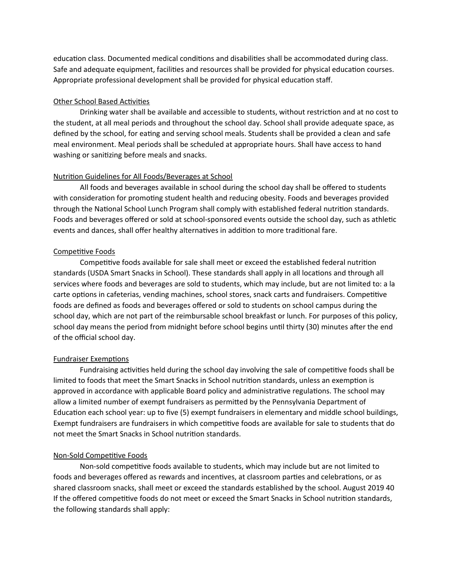education class. Documented medical conditions and disabilities shall be accommodated during class. Safe and adequate equipment, facilities and resources shall be provided for physical education courses. Appropriate professional development shall be provided for physical education staff.

## Other School Based Activities

Drinking water shall be available and accessible to students, without restriction and at no cost to the student, at all meal periods and throughout the school day. School shall provide adequate space, as defined by the school, for eating and serving school meals. Students shall be provided a clean and safe meal environment. Meal periods shall be scheduled at appropriate hours. Shall have access to hand washing or sanitizing before meals and snacks.

## Nutrition Guidelines for All Foods/Beverages at School

All foods and beverages available in school during the school day shall be offered to students with consideration for promoting student health and reducing obesity. Foods and beverages provided through the National School Lunch Program shall comply with established federal nutrition standards. Foods and beverages offered or sold at school-sponsored events outside the school day, such as athletic events and dances, shall offer healthy alternatives in addition to more traditional fare.

## Competitive Foods

Competitive foods available for sale shall meet or exceed the established federal nutrition standards (USDA Smart Snacks in School). These standards shall apply in all locations and through all services where foods and beverages are sold to students, which may include, but are not limited to: a la carte options in cafeterias, vending machines, school stores, snack carts and fundraisers. Competitive foods are defined as foods and beverages offered or sold to students on school campus during the school day, which are not part of the reimbursable school breakfast or lunch. For purposes of this policy, school day means the period from midnight before school begins until thirty (30) minutes after the end of the official school day.

## Fundraiser Exemptions

Fundraising activities held during the school day involving the sale of competitive foods shall be limited to foods that meet the Smart Snacks in School nutrition standards, unless an exemption is approved in accordance with applicable Board policy and administrative regulations. The school may allow a limited number of exempt fundraisers as permitted by the Pennsylvania Department of Education each school year: up to five (5) exempt fundraisers in elementary and middle school buildings, Exempt fundraisers are fundraisers in which competitive foods are available for sale to students that do not meet the Smart Snacks in School nutrition standards.

## Non-Sold Competitive Foods

Non-sold competitive foods available to students, which may include but are not limited to foods and beverages offered as rewards and incentives, at classroom parties and celebrations, or as shared classroom snacks, shall meet or exceed the standards established by the school. August 2019 40 If the offered competitive foods do not meet or exceed the Smart Snacks in School nutrition standards, the following standards shall apply: